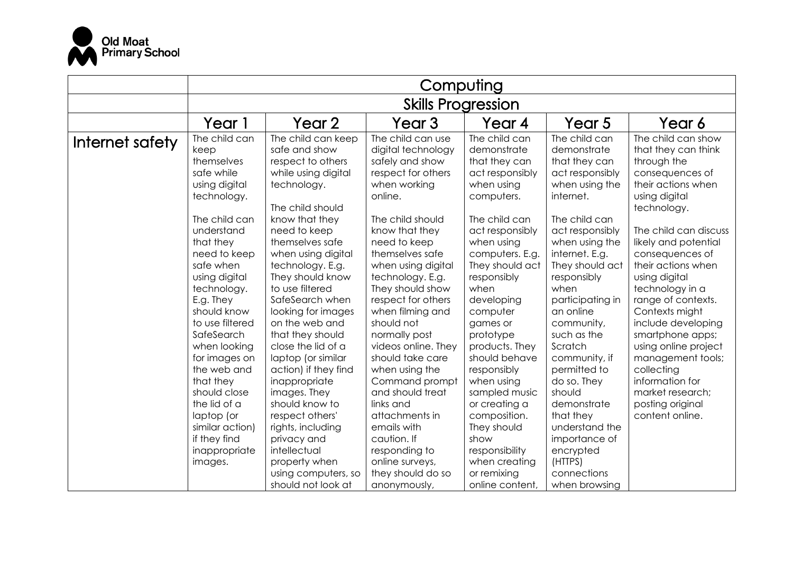

|                 | Computing                                                                                                                                                                                                                                                                                                                                                                                                              |                                                                                                                                                                                                                                                                                                                                                                                                                                                                                                                                       |                                                                                                                                                                                                                                                                                                                                                                                                                                                                                                              |                                                                                                                                                                                                                                                                                                                                                                                                                           |                                                                                                                                                                                                                                                                                                                                                                                                                                  |                                                                                                                                                                                                                                                                                                                                                                                                                                                                                            |  |
|-----------------|------------------------------------------------------------------------------------------------------------------------------------------------------------------------------------------------------------------------------------------------------------------------------------------------------------------------------------------------------------------------------------------------------------------------|---------------------------------------------------------------------------------------------------------------------------------------------------------------------------------------------------------------------------------------------------------------------------------------------------------------------------------------------------------------------------------------------------------------------------------------------------------------------------------------------------------------------------------------|--------------------------------------------------------------------------------------------------------------------------------------------------------------------------------------------------------------------------------------------------------------------------------------------------------------------------------------------------------------------------------------------------------------------------------------------------------------------------------------------------------------|---------------------------------------------------------------------------------------------------------------------------------------------------------------------------------------------------------------------------------------------------------------------------------------------------------------------------------------------------------------------------------------------------------------------------|----------------------------------------------------------------------------------------------------------------------------------------------------------------------------------------------------------------------------------------------------------------------------------------------------------------------------------------------------------------------------------------------------------------------------------|--------------------------------------------------------------------------------------------------------------------------------------------------------------------------------------------------------------------------------------------------------------------------------------------------------------------------------------------------------------------------------------------------------------------------------------------------------------------------------------------|--|
|                 | <b>Skills Progression</b>                                                                                                                                                                                                                                                                                                                                                                                              |                                                                                                                                                                                                                                                                                                                                                                                                                                                                                                                                       |                                                                                                                                                                                                                                                                                                                                                                                                                                                                                                              |                                                                                                                                                                                                                                                                                                                                                                                                                           |                                                                                                                                                                                                                                                                                                                                                                                                                                  |                                                                                                                                                                                                                                                                                                                                                                                                                                                                                            |  |
|                 | Year 1                                                                                                                                                                                                                                                                                                                                                                                                                 | Year 2                                                                                                                                                                                                                                                                                                                                                                                                                                                                                                                                | Year 3                                                                                                                                                                                                                                                                                                                                                                                                                                                                                                       | Year 4                                                                                                                                                                                                                                                                                                                                                                                                                    | Year 5                                                                                                                                                                                                                                                                                                                                                                                                                           | Year 6                                                                                                                                                                                                                                                                                                                                                                                                                                                                                     |  |
| Internet safety | The child can<br>keep<br>themselves<br>safe while<br>using digital<br>technology.<br>The child can<br>understand<br>that they<br>need to keep<br>safe when<br>using digital<br>technology.<br>E.g. They<br>should know<br>to use filtered<br>SafeSearch<br>when looking<br>for images on<br>the web and<br>that they<br>should close<br>the lid of a<br>laptop (or<br>similar action)<br>if they find<br>inappropriate | The child can keep<br>safe and show<br>respect to others<br>while using digital<br>technology.<br>The child should<br>know that they<br>need to keep<br>themselves safe<br>when using digital<br>technology. E.g.<br>They should know<br>to use filtered<br>SafeSearch when<br>looking for images<br>on the web and<br>that they should<br>close the lid of a<br>laptop (or similar<br>action) if they find<br>inappropriate<br>images. They<br>should know to<br>respect others'<br>rights, including<br>privacy and<br>intellectual | The child can use<br>digital technology<br>safely and show<br>respect for others<br>when working<br>online.<br>The child should<br>know that they<br>need to keep<br>themselves safe<br>when using digital<br>technology. E.g.<br>They should show<br>respect for others<br>when filming and<br>should not<br>normally post<br>videos online. They<br>should take care<br>when using the<br>Command prompt<br>and should treat<br>links and<br>attachments in<br>emails with<br>caution. If<br>responding to | The child can<br>demonstrate<br>that they can<br>act responsibly<br>when using<br>computers.<br>The child can<br>act responsibly<br>when using<br>computers. E.g.<br>They should act<br>responsibly<br>when<br>developing<br>computer<br>games or<br>prototype<br>products. They<br>should behave<br>responsibly<br>when using<br>sampled music<br>or creating a<br>composition.<br>They should<br>show<br>responsibility | The child can<br>demonstrate<br>that they can<br>act responsibly<br>when using the<br>internet.<br>The child can<br>act responsibly<br>when using the<br>internet. E.g.<br>They should act<br>responsibly<br>when<br>participating in<br>an online<br>community,<br>such as the<br>Scratch<br>community, if<br>permitted to<br>do so. They<br>should<br>demonstrate<br>that they<br>understand the<br>importance of<br>encrypted | The child can show<br>that they can think<br>through the<br>consequences of<br>their actions when<br>using digital<br>technology.<br>The child can discuss<br>likely and potential<br>consequences of<br>their actions when<br>using digital<br>technology in a<br>range of contexts.<br>Contexts might<br>include developing<br>smartphone apps;<br>using online project<br>management tools;<br>collecting<br>information for<br>market research;<br>posting original<br>content online. |  |
|                 | images.                                                                                                                                                                                                                                                                                                                                                                                                                | property when<br>using computers, so                                                                                                                                                                                                                                                                                                                                                                                                                                                                                                  | online surveys,<br>they should do so                                                                                                                                                                                                                                                                                                                                                                                                                                                                         | when creating<br>or remixing                                                                                                                                                                                                                                                                                                                                                                                              | (HTTPS)<br>connections                                                                                                                                                                                                                                                                                                                                                                                                           |                                                                                                                                                                                                                                                                                                                                                                                                                                                                                            |  |
|                 |                                                                                                                                                                                                                                                                                                                                                                                                                        | should not look at                                                                                                                                                                                                                                                                                                                                                                                                                                                                                                                    | anonymously,                                                                                                                                                                                                                                                                                                                                                                                                                                                                                                 | online content,                                                                                                                                                                                                                                                                                                                                                                                                           | when browsing                                                                                                                                                                                                                                                                                                                                                                                                                    |                                                                                                                                                                                                                                                                                                                                                                                                                                                                                            |  |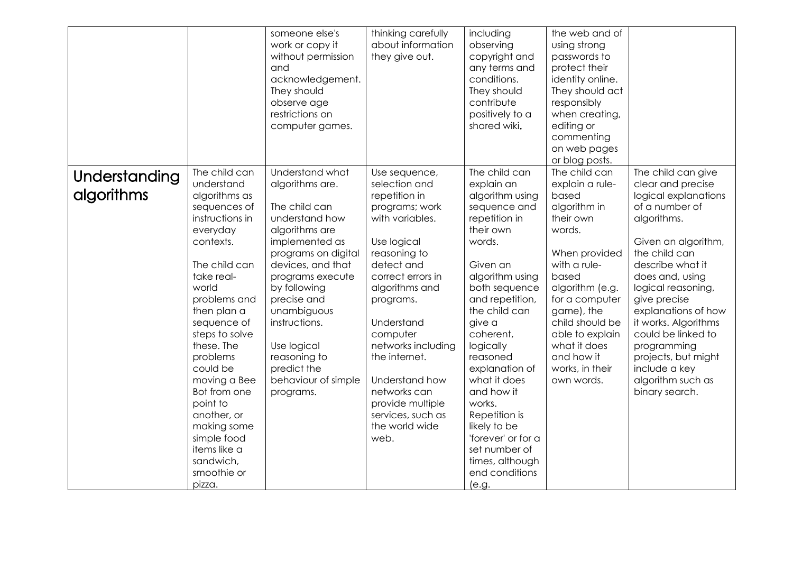|               |                             | someone else's<br>work or copy it<br>without permission<br>and<br>acknowledgement.<br>They should<br>observe age<br>restrictions on<br>computer games. | thinking carefully<br>about information<br>they give out. | including<br>observing<br>copyright and<br>any terms and<br>conditions.<br>They should<br>contribute<br>positively to a<br>shared wiki. | the web and of<br>using strong<br>passwords to<br>protect their<br>identity online.<br>They should act<br>responsibly<br>when creating,<br>editing or<br>commenting<br>on web pages<br>or blog posts. |                                           |
|---------------|-----------------------------|--------------------------------------------------------------------------------------------------------------------------------------------------------|-----------------------------------------------------------|-----------------------------------------------------------------------------------------------------------------------------------------|-------------------------------------------------------------------------------------------------------------------------------------------------------------------------------------------------------|-------------------------------------------|
| Understanding | The child can               | Understand what                                                                                                                                        | Use sequence,                                             | The child can                                                                                                                           | The child can                                                                                                                                                                                         | The child can give                        |
| algorithms    | understand<br>algorithms as | algorithms are.                                                                                                                                        | selection and<br>repetition in                            | explain an<br>algorithm using                                                                                                           | explain a rule-<br>based                                                                                                                                                                              | clear and precise<br>logical explanations |
|               | sequences of                | The child can                                                                                                                                          | programs; work                                            | sequence and                                                                                                                            | algorithm in                                                                                                                                                                                          | of a number of                            |
|               | instructions in             | understand how                                                                                                                                         | with variables.                                           | repetition in<br>their own                                                                                                              | their own<br>words.                                                                                                                                                                                   | algorithms.                               |
|               | everyday<br>contexts.       | algorithms are<br>implemented as                                                                                                                       | Use logical                                               | words.                                                                                                                                  |                                                                                                                                                                                                       | Given an algorithm,                       |
|               |                             | programs on digital                                                                                                                                    | reasoning to                                              |                                                                                                                                         | When provided                                                                                                                                                                                         | the child can                             |
|               | The child can               | devices, and that                                                                                                                                      | detect and                                                | Given an                                                                                                                                | with a rule-                                                                                                                                                                                          | describe what it                          |
|               | take real-                  | programs execute                                                                                                                                       | correct errors in                                         | algorithm using                                                                                                                         | based                                                                                                                                                                                                 | does and, using                           |
|               | world<br>problems and       | by following<br>precise and                                                                                                                            | algorithms and<br>programs.                               | both sequence<br>and repetition,                                                                                                        | algorithm (e.g.<br>for a computer                                                                                                                                                                     | logical reasoning,<br>give precise        |
|               | then plan a                 | unambiguous                                                                                                                                            |                                                           | the child can                                                                                                                           | game), the                                                                                                                                                                                            | explanations of how                       |
|               | sequence of                 | instructions.                                                                                                                                          | Understand                                                | give a                                                                                                                                  | child should be                                                                                                                                                                                       | it works. Algorithms                      |
|               | steps to solve              |                                                                                                                                                        | computer                                                  | coherent,                                                                                                                               | able to explain                                                                                                                                                                                       | could be linked to                        |
|               | these. The                  | Use logical                                                                                                                                            | networks including                                        | logically                                                                                                                               | what it does                                                                                                                                                                                          | programming                               |
|               | problems<br>could be        | reasoning to<br>predict the                                                                                                                            | the internet.                                             | reasoned<br>explanation of                                                                                                              | and how it<br>works, in their                                                                                                                                                                         | projects, but might<br>include a key      |
|               | moving a Bee                | behaviour of simple                                                                                                                                    | Understand how                                            | what it does                                                                                                                            | own words.                                                                                                                                                                                            | algorithm such as                         |
|               | Bot from one                | programs.                                                                                                                                              | networks can                                              | and how it                                                                                                                              |                                                                                                                                                                                                       | binary search.                            |
|               | point to                    |                                                                                                                                                        | provide multiple                                          | works.                                                                                                                                  |                                                                                                                                                                                                       |                                           |
|               | another, or                 |                                                                                                                                                        | services, such as                                         | Repetition is                                                                                                                           |                                                                                                                                                                                                       |                                           |
|               | making some<br>simple food  |                                                                                                                                                        | the world wide<br>web.                                    | likely to be<br>'forever' or for a                                                                                                      |                                                                                                                                                                                                       |                                           |
|               | items like a                |                                                                                                                                                        |                                                           | set number of                                                                                                                           |                                                                                                                                                                                                       |                                           |
|               | sandwich,                   |                                                                                                                                                        |                                                           | times, although                                                                                                                         |                                                                                                                                                                                                       |                                           |
|               | smoothie or                 |                                                                                                                                                        |                                                           | end conditions                                                                                                                          |                                                                                                                                                                                                       |                                           |
|               | pizza.                      |                                                                                                                                                        |                                                           | (e.g.                                                                                                                                   |                                                                                                                                                                                                       |                                           |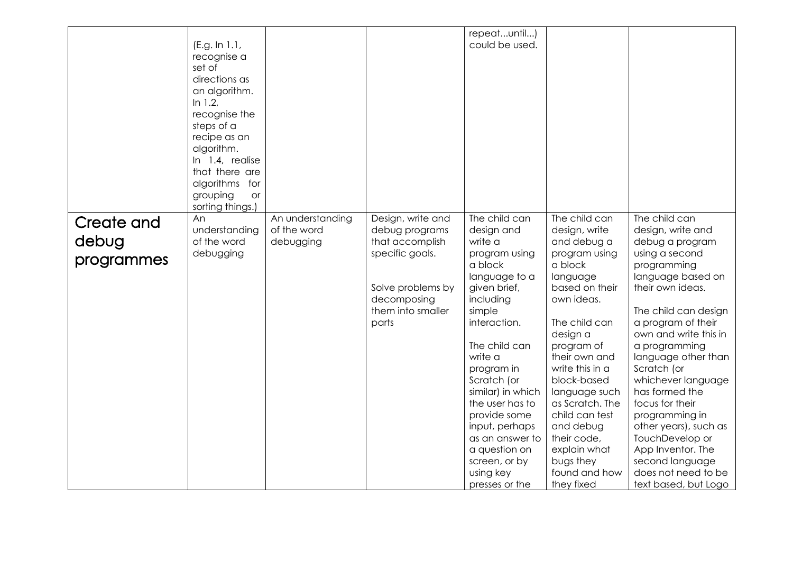|                                          | (E.g. In 1.1,<br>recognise a<br>set of<br>directions as<br>an algorithm.<br>In $1.2$ ,<br>recognise the<br>steps of a<br>recipe as an<br>algorithm.<br>In 1.4, realise<br>that there are<br>algorithms for<br>grouping<br><b>or</b><br>sorting things.) |                                              |                                                                                                                                             | repeatuntil)<br>could be used.                                                                                                                                                                                                                                                                                                                                    |                                                                                                                                                                                                                                                                                                                                                                   |                                                                                                                                                                                                                                                                                                                                                                                                                                                                               |
|------------------------------------------|---------------------------------------------------------------------------------------------------------------------------------------------------------------------------------------------------------------------------------------------------------|----------------------------------------------|---------------------------------------------------------------------------------------------------------------------------------------------|-------------------------------------------------------------------------------------------------------------------------------------------------------------------------------------------------------------------------------------------------------------------------------------------------------------------------------------------------------------------|-------------------------------------------------------------------------------------------------------------------------------------------------------------------------------------------------------------------------------------------------------------------------------------------------------------------------------------------------------------------|-------------------------------------------------------------------------------------------------------------------------------------------------------------------------------------------------------------------------------------------------------------------------------------------------------------------------------------------------------------------------------------------------------------------------------------------------------------------------------|
| <b>Create and</b><br>debug<br>programmes | An<br>understanding<br>of the word<br>debugging                                                                                                                                                                                                         | An understanding<br>of the word<br>debugging | Design, write and<br>debug programs<br>that accomplish<br>specific goals.<br>Solve problems by<br>decomposing<br>them into smaller<br>parts | The child can<br>design and<br>write a<br>program using<br>a block<br>language to a<br>given brief,<br>including<br>simple<br>interaction.<br>The child can<br>write a<br>program in<br>Scratch (or<br>similar) in which<br>the user has to<br>provide some<br>input, perhaps<br>as an answer to<br>a question on<br>screen, or by<br>using key<br>presses or the | The child can<br>design, write<br>and debug a<br>program using<br>a block<br>language<br>based on their<br>own ideas.<br>The child can<br>design a<br>program of<br>their own and<br>write this in a<br>block-based<br>language such<br>as Scratch. The<br>child can test<br>and debug<br>their code,<br>explain what<br>bugs they<br>found and how<br>they fixed | The child can<br>design, write and<br>debug a program<br>using a second<br>programming<br>language based on<br>their own ideas.<br>The child can design<br>a program of their<br>own and write this in<br>a programming<br>language other than<br>Scratch (or<br>whichever language<br>has formed the<br>focus for their<br>programming in<br>other years), such as<br>TouchDevelop or<br>App Inventor. The<br>second language<br>does not need to be<br>text based, but Logo |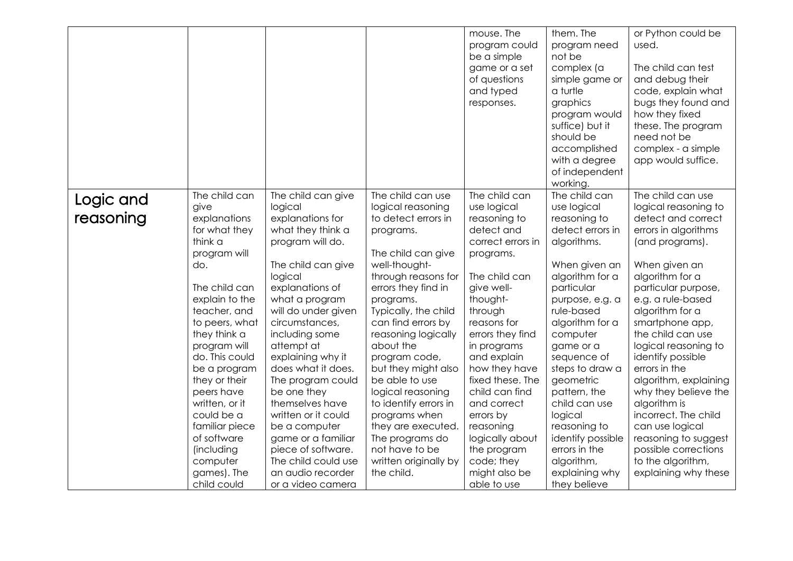| of questions<br>simple game or<br>and typed<br>a turtle<br>graphics<br>responses.<br>program would<br>suffice) but it<br>should be<br>accomplished<br>with a degree<br>of independent<br>working.                                                                                                                                                                                                                                                                                                                                                                                                                                                                                                                                                                                                                                                                                                                                                                                                                                                                                                                                                                                                                                                                                                                                                                                                                                                                                                                                                                                                                                                                                                                                                                                                                                                                                                                                                                                                                                                                                                                                                                         | how they fixed<br>these. The program<br>need not be<br>complex - a simple<br>app would suffice.                                                                                                                                                                                                                                                                                                                                                                                                                              |
|---------------------------------------------------------------------------------------------------------------------------------------------------------------------------------------------------------------------------------------------------------------------------------------------------------------------------------------------------------------------------------------------------------------------------------------------------------------------------------------------------------------------------------------------------------------------------------------------------------------------------------------------------------------------------------------------------------------------------------------------------------------------------------------------------------------------------------------------------------------------------------------------------------------------------------------------------------------------------------------------------------------------------------------------------------------------------------------------------------------------------------------------------------------------------------------------------------------------------------------------------------------------------------------------------------------------------------------------------------------------------------------------------------------------------------------------------------------------------------------------------------------------------------------------------------------------------------------------------------------------------------------------------------------------------------------------------------------------------------------------------------------------------------------------------------------------------------------------------------------------------------------------------------------------------------------------------------------------------------------------------------------------------------------------------------------------------------------------------------------------------------------------------------------------------|------------------------------------------------------------------------------------------------------------------------------------------------------------------------------------------------------------------------------------------------------------------------------------------------------------------------------------------------------------------------------------------------------------------------------------------------------------------------------------------------------------------------------|
| The child can<br>The child can<br>The child can<br>The child can use<br>The child can give<br>Logic and<br>use logical<br>give<br>logical<br>logical reasoning<br>use logical<br>reasoning<br>explanations<br>explanations for<br>to detect errors in<br>reasoning to<br>reasoning to<br>for what they<br>what they think a<br>detect errors in<br>detect and<br>programs.<br>think a<br>program will do.<br>correct errors in<br>algorithms.<br>The child can give<br>program will<br>programs.<br>well-thought-<br>When given an<br>do.<br>The child can give<br>logical<br>through reasons for<br>The child can<br>algorithm for a<br>The child can<br>explanations of<br>errors they find in<br>give well-<br>particular<br>explain to the<br>what a program<br>thought-<br>programs.<br>purpose, e.g. a<br>teacher, and<br>will do under given<br>rule-based<br>Typically, the child<br>through<br>circumstances,<br>can find errors by<br>reasons for<br>algorithm for a<br>to peers, what<br>they think a<br>including some<br>reasoning logically<br>errors they find<br>computer<br>attempt at<br>about the<br>program will<br>game or a<br>in programs<br>do. This could<br>and explain<br>explaining why it<br>program code,<br>sequence of<br>does what it does.<br>how they have<br>be a program<br>but they might also<br>steps to draw a<br>be able to use<br>fixed these. The<br>they or their<br>The program could<br>geometric<br>child can find<br>peers have<br>be one they<br>logical reasoning<br>pattern, the<br>written, or it<br>themselves have<br>to identify errors in<br>and correct<br>child can use<br>could be a<br>written or it could<br>programs when<br>errors by<br>logical<br>familiar piece<br>be a computer<br>they are executed.<br>reasoning<br>reasoning to<br>of software<br>game or a familiar<br>The programs do<br>logically about<br>identify possible<br>not have to be<br>piece of software.<br>the program<br>errors in the<br>(including<br>The child could use<br>computer<br>written originally by<br>code; they<br>algorithm,<br>games). The<br>an audio recorder<br>the child.<br>might also be<br>explaining why | The child can use<br>logical reasoning to<br>detect and correct<br>errors in algorithms<br>(and programs).<br>When given an<br>algorithm for a<br>particular purpose,<br>e.g. a rule-based<br>algorithm for a<br>smartphone app,<br>the child can use<br>logical reasoning to<br>identify possible<br>errors in the<br>algorithm, explaining<br>why they believe the<br>algorithm is<br>incorrect. The child<br>can use logical<br>reasoning to suggest<br>possible corrections<br>to the algorithm,<br>explaining why these |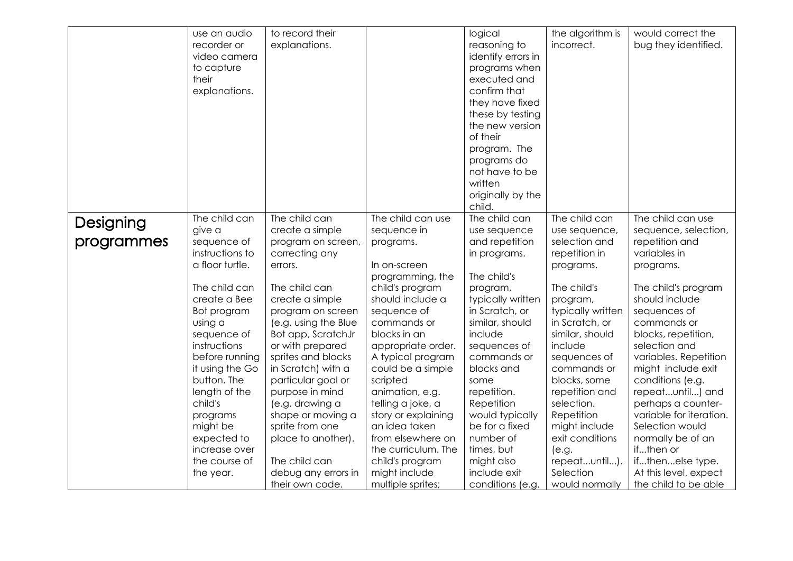|            | use an audio    | to record their      |                     | logical            | the algorithm is  | would correct the       |
|------------|-----------------|----------------------|---------------------|--------------------|-------------------|-------------------------|
|            | recorder or     | explanations.        |                     | reasoning to       | incorrect.        | bug they identified.    |
|            | video camera    |                      |                     | identify errors in |                   |                         |
|            | to capture      |                      |                     | programs when      |                   |                         |
|            | their           |                      |                     | executed and       |                   |                         |
|            | explanations.   |                      |                     | confirm that       |                   |                         |
|            |                 |                      |                     | they have fixed    |                   |                         |
|            |                 |                      |                     | these by testing   |                   |                         |
|            |                 |                      |                     | the new version    |                   |                         |
|            |                 |                      |                     | of their           |                   |                         |
|            |                 |                      |                     | program. The       |                   |                         |
|            |                 |                      |                     | programs do        |                   |                         |
|            |                 |                      |                     | not have to be     |                   |                         |
|            |                 |                      |                     | written            |                   |                         |
|            |                 |                      |                     | originally by the  |                   |                         |
|            |                 |                      |                     | child.             |                   |                         |
|            | The child can   | The child can        | The child can use   | The child can      | The child can     | The child can use       |
| Designing  | give a          | create a simple      | sequence in         | use sequence       | use sequence,     | sequence, selection,    |
| programmes | sequence of     | program on screen,   | programs.           | and repetition     | selection and     | repetition and          |
|            | instructions to | correcting any       |                     | in programs.       | repetition in     | variables in            |
|            | a floor turtle. | errors.              | In on-screen        |                    | programs.         | programs.               |
|            |                 |                      | programming, the    | The child's        |                   |                         |
|            | The child can   | The child can        | child's program     | program,           | The child's       | The child's program     |
|            | create a Bee    | create a simple      | should include a    | typically written  | program,          | should include          |
|            | Bot program     | program on screen    | sequence of         | in Scratch, or     | typically written | sequences of            |
|            | using a         | (e.g. using the Blue | commands or         | similar, should    | in Scratch, or    | commands or             |
|            | sequence of     | Bot app, ScratchJr   | blocks in an        | include            | similar, should   | blocks, repetition,     |
|            | instructions    | or with prepared     | appropriate order.  | sequences of       | include           | selection and           |
|            | before running  | sprites and blocks   | A typical program   | commands or        | sequences of      | variables. Repetition   |
|            | it using the Go | in Scratch) with a   | could be a simple   | blocks and         | commands or       | might include exit      |
|            | button. The     | particular goal or   | scripted            | some               | blocks, some      | conditions (e.g.        |
|            | length of the   | purpose in mind      | animation, e.g.     | repetition.        | repetition and    | repeatuntil) and        |
|            | child's         | (e.g. drawing a      | telling a joke, a   | Repetition         | selection.        | perhaps a counter-      |
|            | programs        | shape or moving a    | story or explaining | would typically    | Repetition        | variable for iteration. |
|            | might be        | sprite from one      | an idea taken       | be for a fixed     | might include     | Selection would         |
|            | expected to     | place to another).   | from elsewhere on   | number of          | exit conditions   | normally be of an       |
|            | increase over   |                      | the curriculum. The | times, but         | (e.g.             | ifthen or               |
|            | the course of   | The child can        | child's program     | might also         | repeatuntil).     | ifthenelse type.        |
|            | the year.       | debug any errors in  | might include       | include exit       | Selection         | At this level, expect   |
|            |                 | their own code.      | multiple sprites;   | conditions (e.g.   | would normally    | the child to be able    |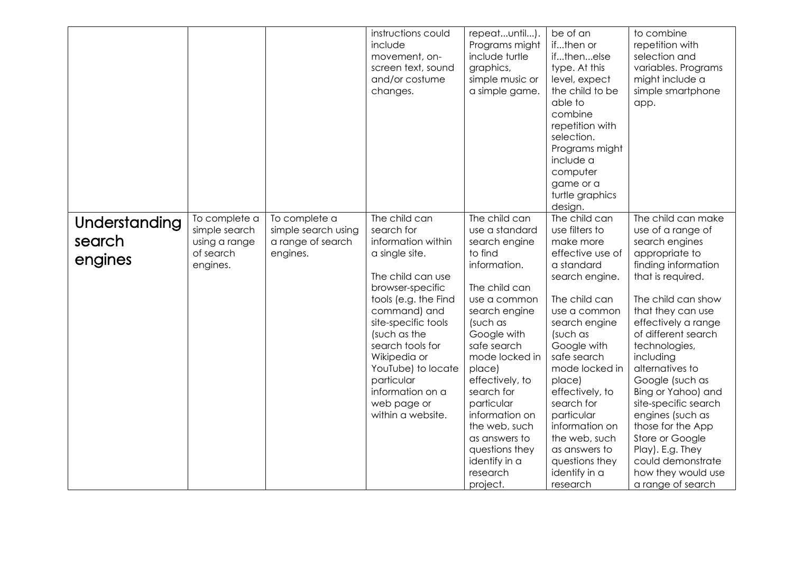|                                    | To complete a                                           | To complete a                                        | instructions could<br>include<br>movement, on-<br>screen text, sound<br>and/or costume<br>changes.<br>The child can                                                                                                                                                                   | repeatuntil).<br>Programs might<br>include turtle<br>graphics,<br>simple music or<br>a simple game.<br>The child can                                                                                                              | be of an<br>ifthen or<br>ifthenelse<br>type. At this<br>level, expect<br>the child to be<br>able to<br>combine<br>repetition with<br>selection.<br>Programs might<br>include a<br>computer<br>game or a<br>turtle graphics<br>design.<br>The child can | to combine<br>repetition with<br>selection and<br>variables. Programs<br>might include a<br>simple smartphone<br>app.<br>The child can make                                                                                                                                                                  |
|------------------------------------|---------------------------------------------------------|------------------------------------------------------|---------------------------------------------------------------------------------------------------------------------------------------------------------------------------------------------------------------------------------------------------------------------------------------|-----------------------------------------------------------------------------------------------------------------------------------------------------------------------------------------------------------------------------------|--------------------------------------------------------------------------------------------------------------------------------------------------------------------------------------------------------------------------------------------------------|--------------------------------------------------------------------------------------------------------------------------------------------------------------------------------------------------------------------------------------------------------------------------------------------------------------|
| Understanding<br>search<br>engines | simple search<br>using a range<br>of search<br>engines. | simple search using<br>a range of search<br>engines. | search for<br>information within<br>a single site.<br>The child can use<br>browser-specific<br>tools (e.g. the Find<br>command) and<br>site-specific tools<br>(such as the<br>search tools for<br>Wikipedia or<br>YouTube) to locate<br>particular<br>information on a<br>web page or | use a standard<br>search engine<br>to find<br>information.<br>The child can<br>use a common<br>search engine<br>(such as<br>Google with<br>safe search<br>mode locked in<br>place)<br>effectively, to<br>search for<br>particular | use filters to<br>make more<br>effective use of<br>a standard<br>search engine.<br>The child can<br>use a common<br>search engine<br>(such as<br>Google with<br>safe search<br>mode locked in<br>place)<br>effectively, to<br>search for               | use of a range of<br>search engines<br>appropriate to<br>finding information<br>that is required.<br>The child can show<br>that they can use<br>effectively a range<br>of different search<br>technologies,<br>including<br>alternatives to<br>Google (such as<br>Bing or Yahoo) and<br>site-specific search |
|                                    |                                                         |                                                      | within a website.                                                                                                                                                                                                                                                                     | information on<br>the web, such<br>as answers to<br>questions they<br>identify in a<br>research<br>project.                                                                                                                       | particular<br>information on<br>the web, such<br>as answers to<br>questions they<br>identify in a<br>research                                                                                                                                          | engines (such as<br>those for the App<br>Store or Google<br>Play). E.g. They<br>could demonstrate<br>how they would use<br>a range of search                                                                                                                                                                 |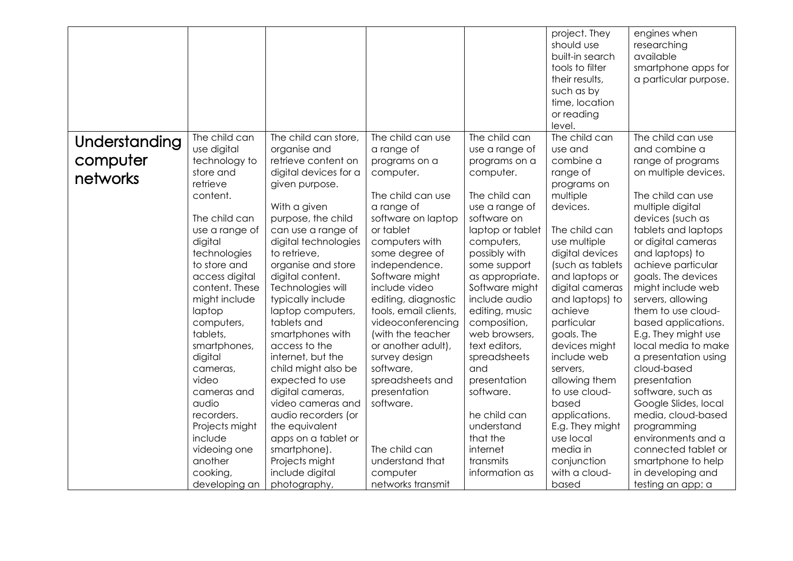|               |                |                       |                       |                  | project. They<br>should use | engines when<br>researching |
|---------------|----------------|-----------------------|-----------------------|------------------|-----------------------------|-----------------------------|
|               |                |                       |                       |                  | built-in search             | available                   |
|               |                |                       |                       |                  | tools to filter             | smartphone apps for         |
|               |                |                       |                       |                  | their results,              | a particular purpose.       |
|               |                |                       |                       |                  | such as by                  |                             |
|               |                |                       |                       |                  | time, location              |                             |
|               |                |                       |                       |                  | or reading                  |                             |
|               |                |                       |                       |                  | level.                      |                             |
| Understanding | The child can  | The child can store,  | The child can use     | The child can    | The child can               | The child can use           |
|               | use digital    | organise and          | a range of            | use a range of   | use and                     | and combine a               |
| computer      | technology to  | retrieve content on   | programs on a         | programs on a    | combine a                   | range of programs           |
| networks      | store and      | digital devices for a | computer.             | computer.        | range of                    | on multiple devices.        |
|               | retrieve       | given purpose.        |                       |                  | programs on                 |                             |
|               | content.       |                       | The child can use     | The child can    | multiple                    | The child can use           |
|               |                | With a given          | a range of            | use a range of   | devices.                    | multiple digital            |
|               | The child can  | purpose, the child    | software on laptop    | software on      |                             | devices (such as            |
|               | use a range of | can use a range of    | or tablet             | laptop or tablet | The child can               | tablets and laptops         |
|               | digital        | digital technologies  | computers with        | computers,       | use multiple                | or digital cameras          |
|               | technologies   | to retrieve,          | some degree of        | possibly with    | digital devices             | and laptops) to             |
|               | to store and   | organise and store    | independence.         | some support     | (such as tablets            | achieve particular          |
|               | access digital | digital content.      | Software might        | as appropriate.  | and laptops or              | goals. The devices          |
|               | content. These | Technologies will     | include video         | Software might   | digital cameras             | might include web           |
|               | might include  | typically include     | editing, diagnostic   | include audio    | and laptops) to             | servers, allowing           |
|               | laptop         | laptop computers,     | tools, email clients, | editing, music   | achieve                     | them to use cloud-          |
|               | computers,     | tablets and           | videoconferencing     | composition,     | particular                  | based applications.         |
|               | tablets,       | smartphones with      | (with the teacher     | web browsers,    | goals. The                  | E.g. They might use         |
|               | smartphones,   | access to the         | or another adult),    | text editors,    | devices might               | local media to make         |
|               | digital        | internet, but the     | survey design         | spreadsheets     | include web                 | a presentation using        |
|               | cameras,       | child might also be   | software,             | and              | servers,                    | cloud-based                 |
|               | video          | expected to use       | spreadsheets and      | presentation     | allowing them               | presentation                |
|               | cameras and    | digital cameras,      | presentation          | software.        | to use cloud-               | software, such as           |
|               | audio          | video cameras and     | software.             |                  | based                       | Google Slides, local        |
|               | recorders.     | audio recorders (or   |                       | he child can     | applications.               | media, cloud-based          |
|               | Projects might | the equivalent        |                       | understand       | E.g. They might             | programming                 |
|               | include        | apps on a tablet or   |                       | that the         | use local                   | environments and a          |
|               | videoing one   | smartphone).          | The child can         | internet         | media in                    | connected tablet or         |
|               | another        | Projects might        | understand that       | transmits        | conjunction                 | smartphone to help          |
|               | cooking,       | include digital       | computer              | information as   | with a cloud-               | in developing and           |
|               | developing an  | photography,          | networks transmit     |                  | based                       | testing an app; a           |